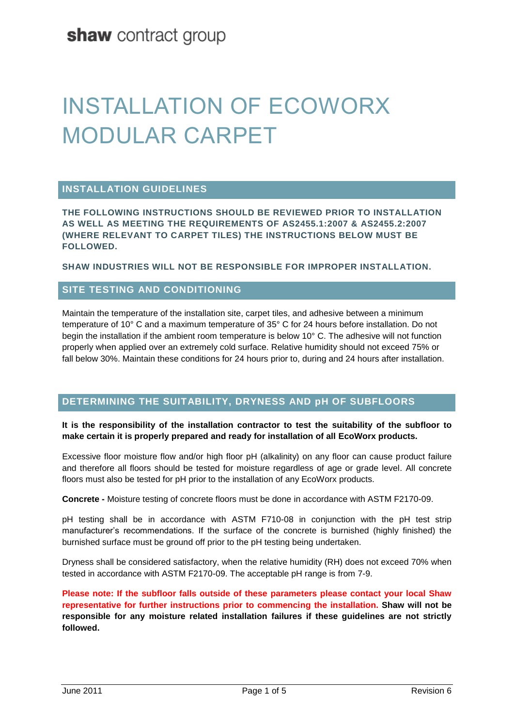# INSTALLATION OF ECOWORX MODULAR CARPET

### **INSTALLATION GUIDELINES**

**THE FOLLOWING INSTRUCTIONS SHOULD BE REVIEWED PRIOR TO INSTALLATION AS WELL AS MEETING THE REQUIREMENTS OF AS2455.1:2007 & AS2455.2:2007 (WHERE RELEVANT TO CARPET TILES) THE INSTRUCTIONS BELOW MUST BE FOLLOWED.**

**SHAW INDUSTRIES WILL NOT BE RESPONSIBLE FOR IMPROPER INSTALLATION.**

### **SITE TESTING AND CONDITIONING**

Maintain the temperature of the installation site, carpet tiles, and adhesive between a minimum temperature of 10° C and a maximum temperature of 35° C for 24 hours before installation. Do not begin the installation if the ambient room temperature is below 10° C. The adhesive will not function properly when applied over an extremely cold surface. Relative humidity should not exceed 75% or fall below 30%. Maintain these conditions for 24 hours prior to, during and 24 hours after installation.

#### **DETERMINING THE SUITABILITY, DRYNESS AND pH OF SUBFLOORS**

#### **It is the responsibility of the installation contractor to test the suitability of the subfloor to make certain it is properly prepared and ready for installation of all EcoWorx products.**

Excessive floor moisture flow and/or high floor pH (alkalinity) on any floor can cause product failure and therefore all floors should be tested for moisture regardless of age or grade level. All concrete floors must also be tested for pH prior to the installation of any EcoWorx products.

**Concrete -** Moisture testing of concrete floors must be done in accordance with ASTM F2170-09.

pH testing shall be in accordance with ASTM F710-08 in conjunction with the pH test strip manufacturer's recommendations. If the surface of the concrete is burnished (highly finished) the burnished surface must be ground off prior to the pH testing being undertaken.

Dryness shall be considered satisfactory, when the relative humidity (RH) does not exceed 70% when tested in accordance with ASTM F2170-09. The acceptable pH range is from 7-9.

**Please note: If the subfloor falls outside of these parameters please contact your local Shaw representative for further instructions prior to commencing the installation. Shaw will not be responsible for any moisture related installation failures if these guidelines are not strictly followed.**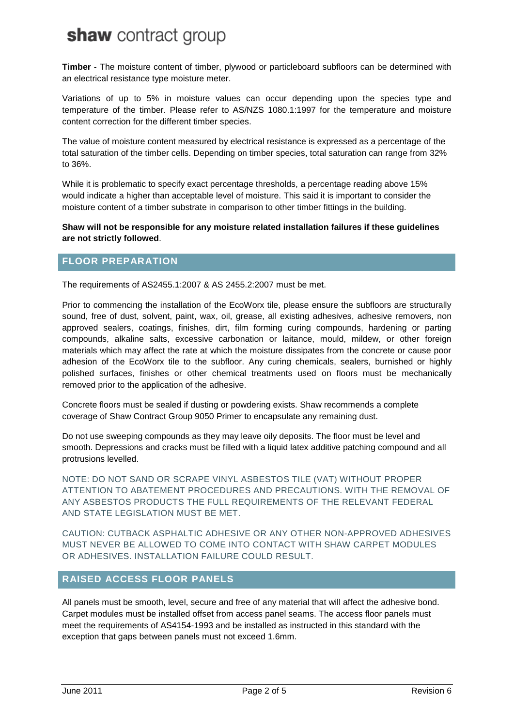**Timber** - The moisture content of timber, plywood or particleboard subfloors can be determined with an electrical resistance type moisture meter.

Variations of up to 5% in moisture values can occur depending upon the species type and temperature of the timber. Please refer to AS/NZS 1080.1:1997 for the temperature and moisture content correction for the different timber species.

The value of moisture content measured by electrical resistance is expressed as a percentage of the total saturation of the timber cells. Depending on timber species, total saturation can range from 32% to 36%.

While it is problematic to specify exact percentage thresholds, a percentage reading above 15% would indicate a higher than acceptable level of moisture. This said it is important to consider the moisture content of a timber substrate in comparison to other timber fittings in the building.

#### **Shaw will not be responsible for any moisture related installation failures if these guidelines are not strictly followed**.

### **FLOOR PREPARATION**

The requirements of AS2455.1:2007 & AS 2455.2:2007 must be met.

Prior to commencing the installation of the EcoWorx tile, please ensure the subfloors are structurally sound, free of dust, solvent, paint, wax, oil, grease, all existing adhesives, adhesive removers, non approved sealers, coatings, finishes, dirt, film forming curing compounds, hardening or parting compounds, alkaline salts, excessive carbonation or laitance, mould, mildew, or other foreign materials which may affect the rate at which the moisture dissipates from the concrete or cause poor adhesion of the EcoWorx tile to the subfloor. Any curing chemicals, sealers, burnished or highly polished surfaces, finishes or other chemical treatments used on floors must be mechanically removed prior to the application of the adhesive.

Concrete floors must be sealed if dusting or powdering exists. Shaw recommends a complete coverage of Shaw Contract Group 9050 Primer to encapsulate any remaining dust.

Do not use sweeping compounds as they may leave oily deposits. The floor must be level and smooth. Depressions and cracks must be filled with a liquid latex additive patching compound and all protrusions levelled.

NOTE: DO NOT SAND OR SCRAPE VINYL ASBESTOS TILE (VAT) WITHOUT PROPER ATTENTION TO ABATEMENT PROCEDURES AND PRECAUTIONS. WITH THE REMOVAL OF ANY ASBESTOS PRODUCTS THE FULL REQUIREMENTS OF THE RELEVANT FEDERAL AND STATE LEGISLATION MUST BE MET.

CAUTION: CUTBACK ASPHALTIC ADHESIVE OR ANY OTHER NON-APPROVED ADHESIVES MUST NEVER BE ALLOWED TO COME INTO CONTACT WITH SHAW CARPET MODULES OR ADHESIVES. INSTALLATION FAILURE COULD RESULT.

#### **RAISED ACCESS FLOOR PANELS**

All panels must be smooth, level, secure and free of any material that will affect the adhesive bond. Carpet modules must be installed offset from access panel seams. The access floor panels must meet the requirements of AS4154-1993 and be installed as instructed in this standard with the exception that gaps between panels must not exceed 1.6mm.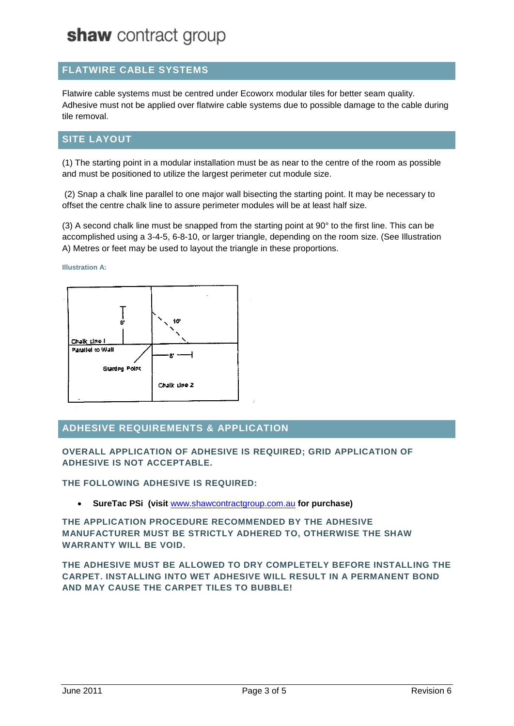# **FLATWIRE CABLE SYSTEMS**

Flatwire cable systems must be centred under Ecoworx modular tiles for better seam quality. Adhesive must not be applied over flatwire cable systems due to possible damage to the cable during tile removal.

# **SITE LAYOUT**

(1) The starting point in a modular installation must be as near to the centre of the room as possible and must be positioned to utilize the largest perimeter cut module size.

(2) Snap a chalk line parallel to one major wall bisecting the starting point. It may be necessary to offset the centre chalk line to assure perimeter modules will be at least half size.

(3) A second chalk line must be snapped from the starting point at 90° to the first line. This can be accomplished using a 3-4-5, 6-8-10, or larger triangle, depending on the room size. (See Illustration A) Metres or feet may be used to layout the triangle in these proportions.

#### **Illustration A:**



# **ADHESIVE REQUIREMENTS & APPLICATION**

**OVERALL APPLICATION OF ADHESIVE IS REQUIRED; GRID APPLICATION OF ADHESIVE IS NOT ACCEPTABLE.**

**THE FOLLOWING ADHESIVE IS REQUIRED:**

**SureTac PSi (visit** www.shawcontractgroup.com.au **for purchase)**

**THE APPLICATION PROCEDURE RECOMMENDED BY THE ADHESIVE MANUFACTURER MUST BE STRICTLY ADHERED TO, OTHERWISE THE SHAW WARRANTY WILL BE VOID.** 

**THE ADHESIVE MUST BE ALLOWED TO DRY COMPLETELY BEFORE INSTALLING THE CARPET. INSTALLING INTO WET ADHESIVE WILL RESULT IN A PERMANENT BOND AND MAY CAUSE THE CARPET TILES TO BUBBLE!**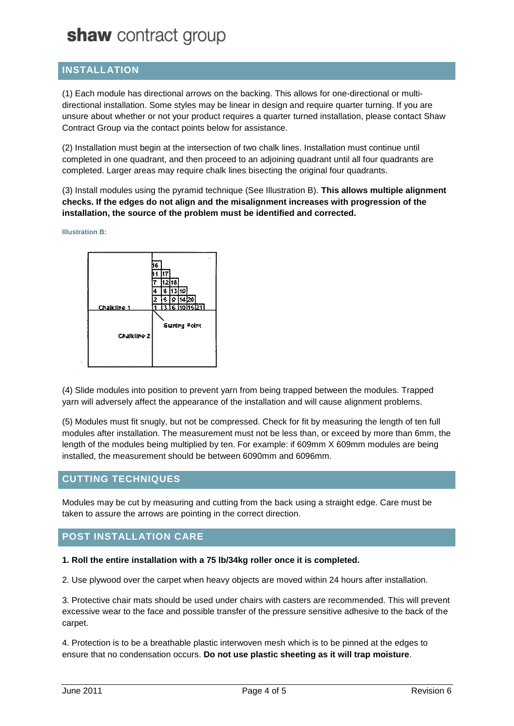# **INSTALLATION**

(1) Each module has directional arrows on the backing. This allows for one-directional or multidirectional installation. Some styles may be linear in design and require quarter turning. If you are unsure about whether or not your product requires a quarter turned installation, please contact Shaw Contract Group via the contact points below for assistance.

(2) Installation must begin at the intersection of two chalk lines. Installation must continue until completed in one quadrant, and then proceed to an adjoining quadrant until all four quadrants are completed. Larger areas may require chalk lines bisecting the original four quadrants.

(3) Install modules using the pyramid technique (See Illustration B). **This allows multiple alignment checks. If the edges do not align and the misalignment increases with progression of the installation, the source of the problem must be identified and corrected.**

**Illustration B:**



(4) Slide modules into position to prevent yarn from being trapped between the modules. Trapped yarn will adversely affect the appearance of the installation and will cause alignment problems.

(5) Modules must fit snugly, but not be compressed. Check for fit by measuring the length of ten full modules after installation. The measurement must not be less than, or exceed by more than 6mm, the length of the modules being multiplied by ten. For example: if 609mm X 609mm modules are being installed, the measurement should be between 6090mm and 6096mm.

### **CUTTING TECHNIQUES**

Modules may be cut by measuring and cutting from the back using a straight edge. Care must be taken to assure the arrows are pointing in the correct direction.

### **POST INSTALLATION CARE**

**1. Roll the entire installation with a 75 lb/34kg roller once it is completed.**

2. Use plywood over the carpet when heavy objects are moved within 24 hours after installation.

3. Protective chair mats should be used under chairs with casters are recommended. This will prevent excessive wear to the face and possible transfer of the pressure sensitive adhesive to the back of the carpet.

4. Protection is to be a breathable plastic interwoven mesh which is to be pinned at the edges to ensure that no condensation occurs. **Do not use plastic sheeting as it will trap moisture**.